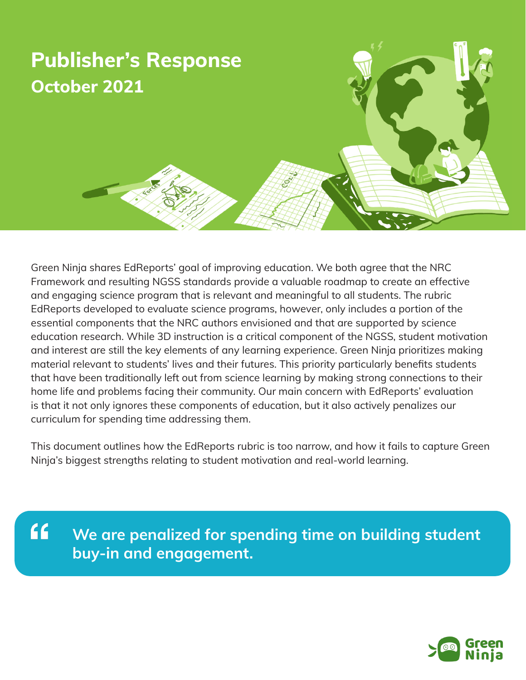

Green Ninja shares EdReports' goal of improving education. We both agree that the NRC Framework and resulting NGSS standards provide a valuable roadmap to create an effective and engaging science program that is relevant and meaningful to all students. The rubric EdReports developed to evaluate science programs, however, only includes a portion of the essential components that the NRC authors envisioned and that are supported by science education research. While 3D instruction is a critical component of the NGSS, student motivation and interest are still the key elements of any learning experience. Green Ninja prioritizes making material relevant to students' lives and their futures. This priority particularly benefits students that have been traditionally left out from science learning by making strong connections to their home life and problems facing their community. Our main concern with EdReports' evaluation is that it not only ignores these components of education, but it also actively penalizes our curriculum for spending time addressing them.

This document outlines how the EdReports rubric is too narrow, and how it fails to capture Green Ninja's biggest strengths relating to student motivation and real-world learning.

 $66$ **We are penalized for spending time on building student buy-in and engagement.**

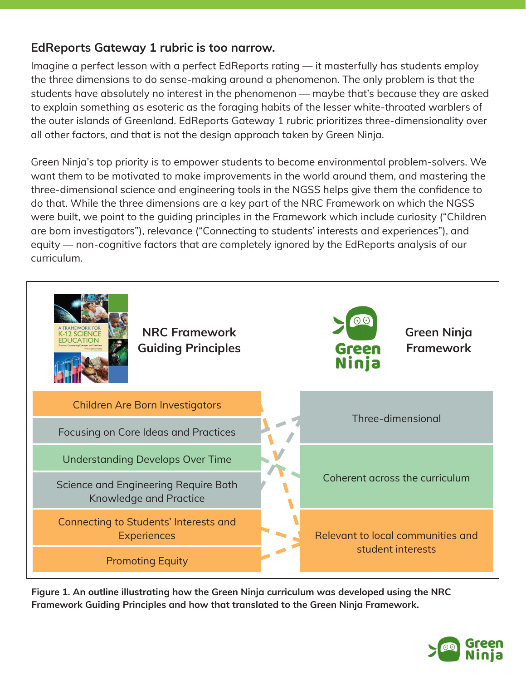## **EdReports Gateway 1 rubric is too narrow.**

Imagine a perfect lesson with a perfect EdReports rating — it masterfully has students employ the three dimensions to do sense-making around a phenomenon. The only problem is that the students have absolutely no interest in the phenomenon — maybe that's because they are asked to explain something as esoteric as the foraging habits of the lesser white-throated warblers of the outer islands of Greenland. EdReports Gateway 1 rubric prioritizes three-dimensionality over all other factors, and that is not the design approach taken by Green Ninja.

Green Ninja's top priority is to empower students to become environmental problem-solvers. We want them to be motivated to make improvements in the world around them, and mastering the three-dimensional science and engineering tools in the NGSS helps give them the confidence to do that. While the three dimensions are a key part of the NRC Framework on which the NGSS were built, we point to the guiding principles in the Framework which include curiosity ("Children are born investigators"), relevance ("Connecting to students' interests and experiences"), and equity — non-cognitive factors that are completely ignored by the EdReports analysis of our curriculum.



**Figure 1. An outline illustrating how the Green Ninja curriculum was developed using the NRC Framework Guiding Principles and how that translated to the Green Ninja Framework.**

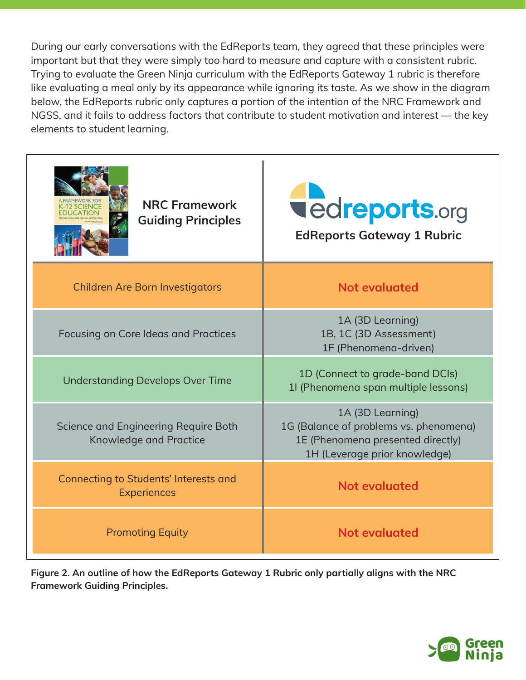During our early conversations with the EdReports team, they agreed that these principles were important but that they were simply too hard to measure and capture with a consistent rubric. Trying to evaluate the Green Ninja curriculum with the EdReports Gateway 1 rubric is therefore like evaluating a meal only by its appearance while ignoring its taste. As we show in the diagram below, the EdReports rubric only captures a portion of the intention of the NRC Framework and NGSS, and it fails to address factors that contribute to student motivation and interest — the key elements to student learning.

| <b>NRC Framework</b><br><b>SCIENCE</b><br>FDUCATION<br><b>Guiding Principles</b> | <b>vedreports.org</b><br><b>EdReports Gateway 1 Rubric</b>                                                                       |
|----------------------------------------------------------------------------------|----------------------------------------------------------------------------------------------------------------------------------|
| <b>Children Are Born Investigators</b>                                           | <b>Not evaluated</b>                                                                                                             |
| Focusing on Core Ideas and Practices                                             | 1A (3D Learning)<br>1B, 1C (3D Assessment)<br>1F (Phenomena-driven)                                                              |
| <b>Understanding Develops Over Time</b>                                          | 1D (Connect to grade-band DCIs)<br>11 (Phenomena span multiple lessons)                                                          |
| Science and Engineering Require Both<br><b>Knowledge and Practice</b>            | 1A (3D Learning)<br>1G (Balance of problems vs. phenomena)<br>1E (Phenomena presented directly)<br>1H (Leverage prior knowledge) |
| <b>Connecting to Students' Interests and</b><br><b>Experiences</b>               | <b>Not evaluated</b>                                                                                                             |
| <b>Promoting Equity</b>                                                          | <b>Not evaluated</b>                                                                                                             |

**Figure 2. An outline of how the EdReports Gateway 1 Rubric only partially aligns with the NRC Framework Guiding Principles.**

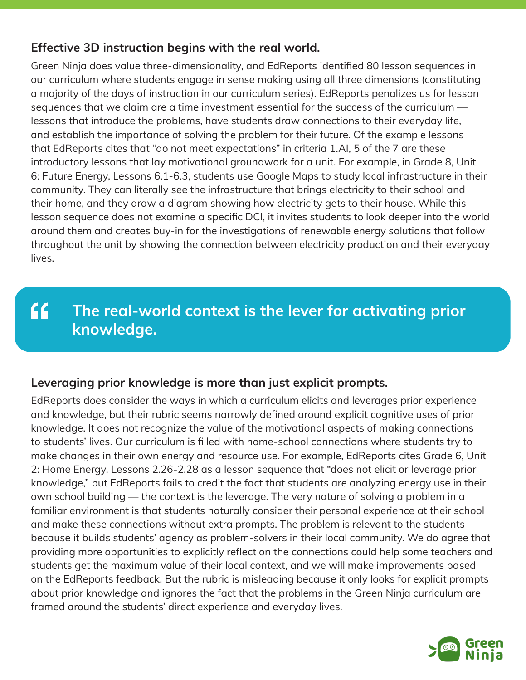## **Effective 3D instruction begins with the real world.**

Green Ninja does value three-dimensionality, and EdReports identified 80 lesson sequences in our curriculum where students engage in sense making using all three dimensions (constituting a majority of the days of instruction in our curriculum series). EdReports penalizes us for lesson sequences that we claim are a time investment essential for the success of the curriculum lessons that introduce the problems, have students draw connections to their everyday life, and establish the importance of solving the problem for their future. Of the example lessons that EdReports cites that "do not meet expectations" in criteria 1.AI, 5 of the 7 are these introductory lessons that lay motivational groundwork for a unit. For example, in Grade 8, Unit 6: Future Energy, Lessons 6.1-6.3, students use Google Maps to study local infrastructure in their community. They can literally see the infrastructure that brings electricity to their school and their home, and they draw a diagram showing how electricity gets to their house. While this lesson sequence does not examine a specific DCI, it invites students to look deeper into the world around them and creates buy-in for the investigations of renewable energy solutions that follow throughout the unit by showing the connection between electricity production and their everyday lives.

## $f$ **The real-world context is the lever for activating prior knowledge.**

## **Leveraging prior knowledge is more than just explicit prompts.**

EdReports does consider the ways in which a curriculum elicits and leverages prior experience and knowledge, but their rubric seems narrowly defined around explicit cognitive uses of prior knowledge. It does not recognize the value of the motivational aspects of making connections to students' lives. Our curriculum is filled with home-school connections where students try to make changes in their own energy and resource use. For example, EdReports cites Grade 6, Unit 2: Home Energy, Lessons 2.26-2.28 as a lesson sequence that "does not elicit or leverage prior knowledge," but EdReports fails to credit the fact that students are analyzing energy use in their own school building — the context is the leverage. The very nature of solving a problem in a familiar environment is that students naturally consider their personal experience at their school and make these connections without extra prompts. The problem is relevant to the students because it builds students' agency as problem-solvers in their local community. We do agree that providing more opportunities to explicitly reflect on the connections could help some teachers and students get the maximum value of their local context, and we will make improvements based on the EdReports feedback. But the rubric is misleading because it only looks for explicit prompts about prior knowledge and ignores the fact that the problems in the Green Ninja curriculum are framed around the students' direct experience and everyday lives.